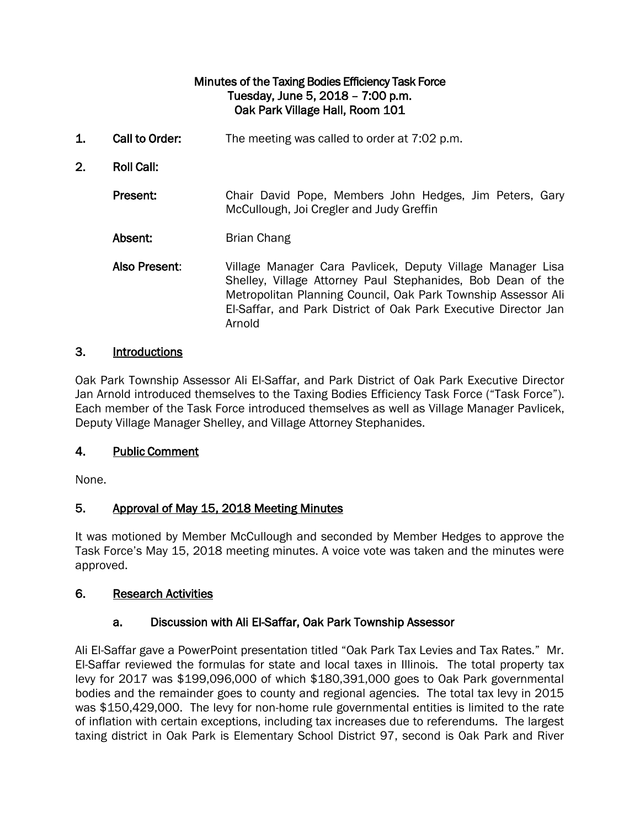### Minutes of the Taxing Bodies Efficiency Task Force Tuesday, June 5, 2018 – 7:00 p.m. Oak Park Village Hall, Room 101

- 1. Call to Order: The meeting was called to order at 7:02 p.m.
- 2. Roll Call:

Present: Chair David Pope, Members John Hedges, Jim Peters, Gary McCullough, Joi Cregler and Judy Greffin

Absent: Brian Chang

Also Present: Village Manager Cara Pavlicek, Deputy Village Manager Lisa Shelley, Village Attorney Paul Stephanides, Bob Dean of the Metropolitan Planning Council, Oak Park Township Assessor Ali El-Saffar, and Park District of Oak Park Executive Director Jan Arnold

### 3. Introductions

Oak Park Township Assessor Ali El-Saffar, and Park District of Oak Park Executive Director Jan Arnold introduced themselves to the Taxing Bodies Efficiency Task Force ("Task Force"). Each member of the Task Force introduced themselves as well as Village Manager Pavlicek, Deputy Village Manager Shelley, and Village Attorney Stephanides.

### 4. Public Comment

None.

## 5. Approval of May 15, 2018 Meeting Minutes

It was motioned by Member McCullough and seconded by Member Hedges to approve the Task Force's May 15, 2018 meeting minutes. A voice vote was taken and the minutes were approved.

### 6. Research Activities

### a. Discussion with Ali El-Saffar, Oak Park Township Assessor

Ali El-Saffar gave a PowerPoint presentation titled "Oak Park Tax Levies and Tax Rates." Mr. El-Saffar reviewed the formulas for state and local taxes in Illinois. The total property tax levy for 2017 was \$199,096,000 of which \$180,391,000 goes to Oak Park governmental bodies and the remainder goes to county and regional agencies. The total tax levy in 2015 was \$150,429,000. The levy for non-home rule governmental entities is limited to the rate of inflation with certain exceptions, including tax increases due to referendums. The largest taxing district in Oak Park is Elementary School District 97, second is Oak Park and River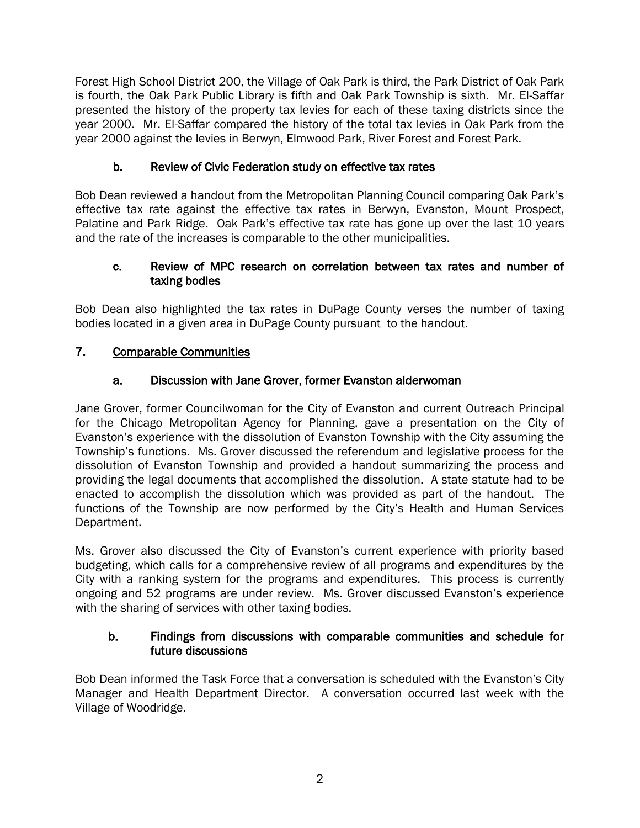Forest High School District 200, the Village of Oak Park is third, the Park District of Oak Park is fourth, the Oak Park Public Library is fifth and Oak Park Township is sixth. Mr. El-Saffar presented the history of the property tax levies for each of these taxing districts since the year 2000. Mr. El-Saffar compared the history of the total tax levies in Oak Park from the year 2000 against the levies in Berwyn, Elmwood Park, River Forest and Forest Park.

## b. Review of Civic Federation study on effective tax rates

Bob Dean reviewed a handout from the Metropolitan Planning Council comparing Oak Park's effective tax rate against the effective tax rates in Berwyn, Evanston, Mount Prospect, Palatine and Park Ridge. Oak Park's effective tax rate has gone up over the last 10 years and the rate of the increases is comparable to the other municipalities.

### c. Review of MPC research on correlation between tax rates and number of taxing bodies

Bob Dean also highlighted the tax rates in DuPage County verses the number of taxing bodies located in a given area in DuPage County pursuant to the handout.

## 7. Comparable Communities

### a. Discussion with Jane Grover, former Evanston alderwoman

Jane Grover, former Councilwoman for the City of Evanston and current Outreach Principal for the Chicago Metropolitan Agency for Planning, gave a presentation on the City of Evanston's experience with the dissolution of Evanston Township with the City assuming the Township's functions. Ms. Grover discussed the referendum and legislative process for the dissolution of Evanston Township and provided a handout summarizing the process and providing the legal documents that accomplished the dissolution. A state statute had to be enacted to accomplish the dissolution which was provided as part of the handout. The functions of the Township are now performed by the City's Health and Human Services Department.

Ms. Grover also discussed the City of Evanston's current experience with priority based budgeting, which calls for a comprehensive review of all programs and expenditures by the City with a ranking system for the programs and expenditures. This process is currently ongoing and 52 programs are under review. Ms. Grover discussed Evanston's experience with the sharing of services with other taxing bodies.

#### b. Findings from discussions with comparable communities and schedule for future discussions

Bob Dean informed the Task Force that a conversation is scheduled with the Evanston's City Manager and Health Department Director. A conversation occurred last week with the Village of Woodridge.